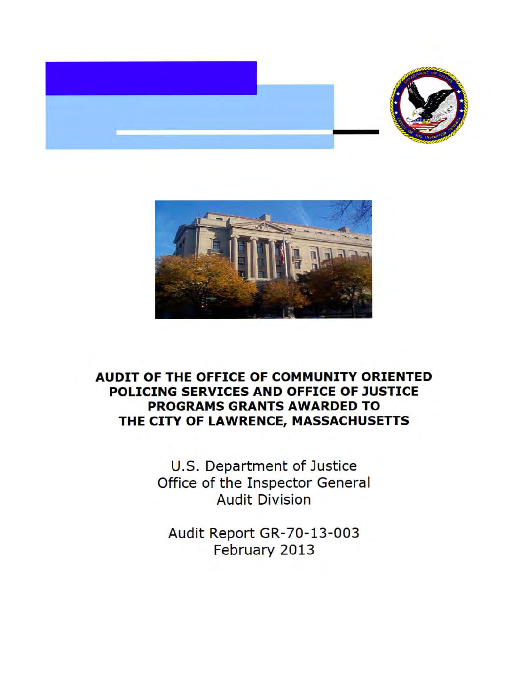



# **AUDIT OF THE OFFICE OF COMMUNITY ORIENTED POLICING SERVICES AND OFFICE OF JUSTICE PROGRAMS GRANTS AWARDED TO THE CITY OF LAWRENCE, MASSACHUSETTS**

U.S. Department of Justice Office of the Inspector General Audit Division

Audit Report GR-70-13-003 February 2013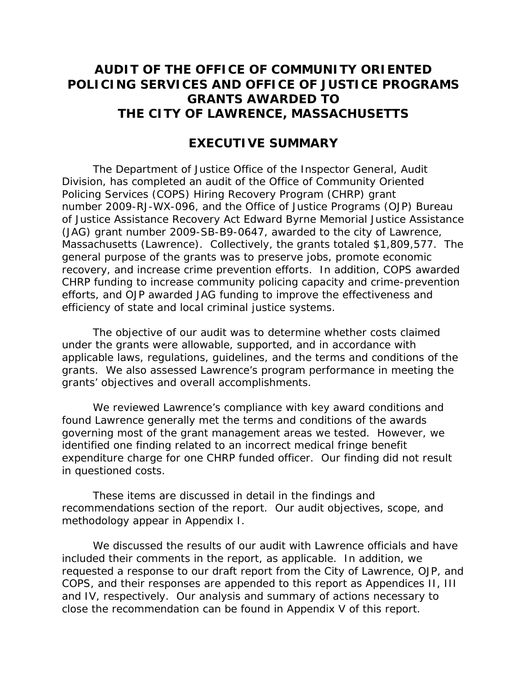# **THE CITY OF LAWRENCE, MASSACHUSETTS AUDIT OF THE OFFICE OF COMMUNITY ORIENTED POLICING SERVICES AND OFFICE OF JUSTICE PROGRAMS GRANTS AWARDED TO**

## **EXECUTIVE SUMMARY**

 Policing Services (COPS) Hiring Recovery Program (CHRP) grant (JAG) grant number 2009-SB-B9-0647, awarded to the city of Lawrence, efforts, and OJP awarded JAG funding to improve the effectiveness and The Department of Justice Office of the Inspector General, Audit Division, has completed an audit of the Office of Community Oriented number 2009-RJ-WX-096, and the Office of Justice Programs (OJP) Bureau of Justice Assistance Recovery Act Edward Byrne Memorial Justice Assistance Massachusetts (Lawrence). Collectively, the grants totaled \$1,809,577. The general purpose of the grants was to preserve jobs, promote economic recovery, and increase crime prevention efforts. In addition, COPS awarded CHRP funding to increase community policing capacity and crime-prevention efficiency of state and local criminal justice systems.

grants' objectives and overall accomplishments. The objective of our audit was to determine whether costs claimed under the grants were allowable, supported, and in accordance with applicable laws, regulations, guidelines, and the terms and conditions of the grants. We also assessed Lawrence's program performance in meeting the

 expenditure charge for one CHRP funded officer. Our finding did not result in questioned costs. We reviewed Lawrence's compliance with key award conditions and found Lawrence generally met the terms and conditions of the awards governing most of the grant management areas we tested. However, we identified one finding related to an incorrect medical fringe benefit

These items are discussed in detail in the findings and recommendations section of the report. Our audit objectives, scope, and methodology appear in Appendix I.

 COPS, and their responses are appended to this report as Appendices II, III We discussed the results of our audit with Lawrence officials and have included their comments in the report, as applicable. In addition, we requested a response to our draft report from the City of Lawrence, OJP, and and IV, respectively. Our analysis and summary of actions necessary to close the recommendation can be found in Appendix V of this report.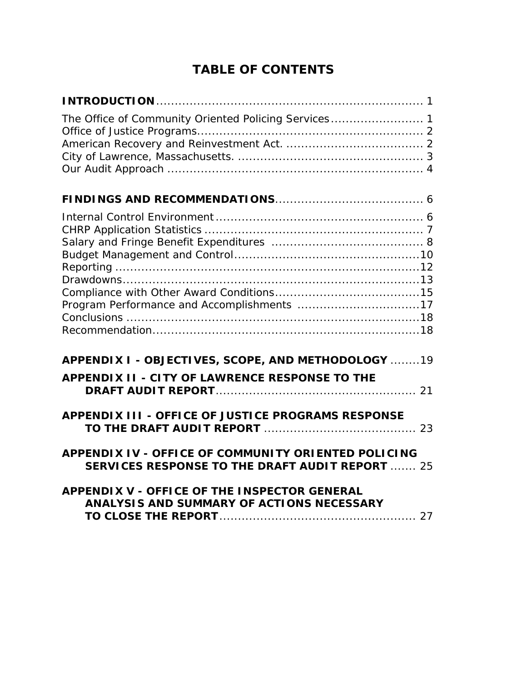# **TABLE OF CONTENTS**

| The Office of Community Oriented Policing Services 1                                                          |
|---------------------------------------------------------------------------------------------------------------|
|                                                                                                               |
|                                                                                                               |
| APPENDIX I - OBJECTIVES, SCOPE, AND METHODOLOGY 19                                                            |
| <b>APPENDIX II - CITY OF LAWRENCE RESPONSE TO THE</b>                                                         |
| APPENDIX III - OFFICE OF JUSTICE PROGRAMS RESPONSE                                                            |
| APPENDIX IV - OFFICE OF COMMUNITY ORIENTED POLICING<br><b>SERVICES RESPONSE TO THE DRAFT AUDIT REPORT  25</b> |
| <b>APPENDIX V - OFFICE OF THE INSPECTOR GENERAL</b><br>ANALYSIS AND SUMMARY OF ACTIONS NECESSARY              |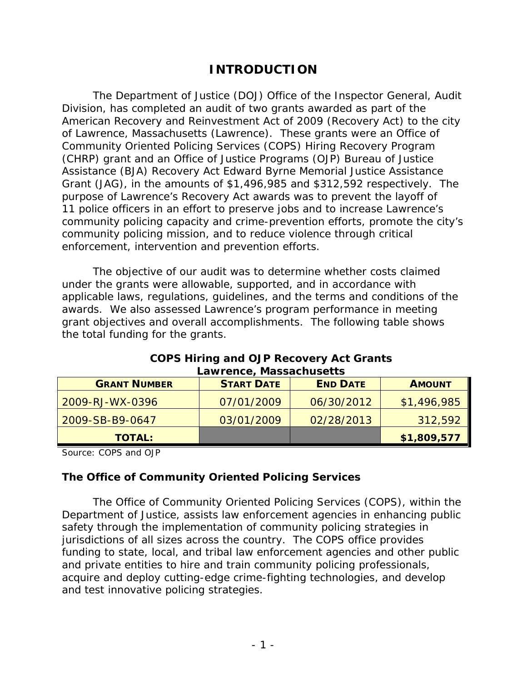# **INTRODUCTION**

enforcement, intervention and prevention efforts. The Department of Justice (DOJ) Office of the Inspector General, Audit Division, has completed an audit of two grants awarded as part of the American Recovery and Reinvestment Act of 2009 (Recovery Act) to the city of Lawrence, Massachusetts (Lawrence). These grants were an Office of Community Oriented Policing Services (COPS) Hiring Recovery Program (CHRP) grant and an Office of Justice Programs (OJP) Bureau of Justice Assistance (BJA) Recovery Act Edward Byrne Memorial Justice Assistance Grant (JAG), in the amounts of \$1,496,985 and \$312,592 respectively. The purpose of Lawrence's Recovery Act awards was to prevent the layoff of 11 police officers in an effort to preserve jobs and to increase Lawrence's community policing capacity and crime-prevention efforts, promote the city's community policing mission, and to reduce violence through critical

The objective of our audit was to determine whether costs claimed under the grants were allowable, supported, and in accordance with applicable laws, regulations, guidelines, and the terms and conditions of the awards. We also assessed Lawrence's program performance in meeting grant objectives and overall accomplishments. The following table shows the total funding for the grants.

| ============================== |                   |                 |               |  |
|--------------------------------|-------------------|-----------------|---------------|--|
| <b>GRANT NUMBER</b>            | <b>START DATE</b> | <b>END DATE</b> | <b>AMOUNT</b> |  |
| 2009-RJ-WX-0396                | 07/01/2009        | 06/30/2012      | \$1,496,985   |  |
| 2009-SB-B9-0647                | 03/01/2009        | 02/28/2013      | 312,592       |  |
| <b>TOTAL:</b>                  |                   |                 | \$1,809,577   |  |

#### **COPS Hiring and OJP Recovery Act Grants Lawrence, Massachusetts**

Source: COPS and OJP

#### **The Office of Community Oriented Policing Services**

The Office of Community Oriented Policing Services (COPS), within the Department of Justice, assists law enforcement agencies in enhancing public safety through the implementation of community policing strategies in jurisdictions of all sizes across the country. The COPS office provides funding to state, local, and tribal law enforcement agencies and other public and private entities to hire and train community policing professionals, acquire and deploy cutting-edge crime-fighting technologies, and develop and test innovative policing strategies.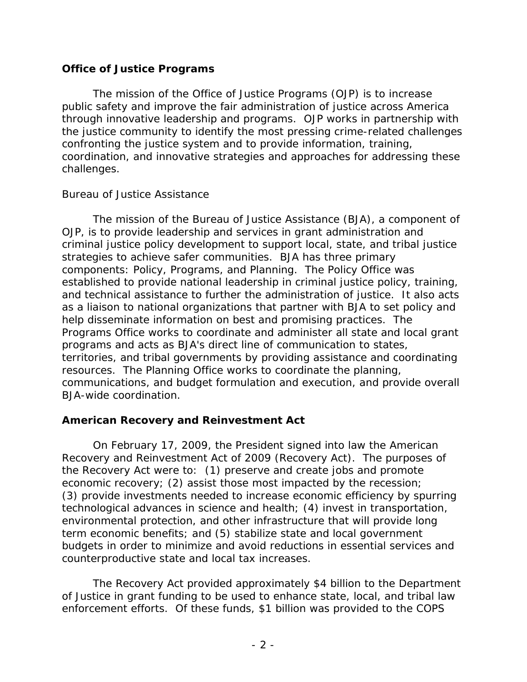#### **Office of Justice Programs**

 The mission of the Office of Justice Programs (OJP) is to increase public safety and improve the fair administration of justice across America through innovative leadership and programs. OJP works in partnership with the justice community to identify the most pressing crime-related challenges confronting the justice system and to provide information, training, coordination, and innovative strategies and approaches for addressing these challenges.

#### *Bureau of Justice Assistance*

 The mission of the Bureau of Justice Assistance (BJA), a component of Programs Office works to coordinate and administer all state and local grant OJP, is to provide leadership and services in grant administration and criminal justice policy development to support local, state, and tribal justice strategies to achieve safer communities. BJA has three primary components: Policy, Programs, and Planning. The Policy Office was established to provide national leadership in criminal justice policy, training, and technical assistance to further the administration of justice. It also acts as a liaison to national organizations that partner with BJA to set policy and help disseminate information on best and promising practices. The programs and acts as BJA's direct line of communication to states, territories, and tribal governments by providing assistance and coordinating resources. The Planning Office works to coordinate the planning, communications, and budget formulation and execution, and provide overall BJA-wide coordination.

#### **American Recovery and Reinvestment Act**

 counterproductive state and local tax increases. On February 17, 2009, the President signed into law the American Recovery and Reinvestment Act of 2009 (Recovery Act). The purposes of the Recovery Act were to: (1) preserve and create jobs and promote economic recovery; (2) assist those most impacted by the recession; (3) provide investments needed to increase economic efficiency by spurring technological advances in science and health; (4) invest in transportation, environmental protection, and other infrastructure that will provide long term economic benefits; and (5) stabilize state and local government budgets in order to minimize and avoid reductions in essential services and

 of Justice in grant funding to be used to enhance state, local, and tribal law The Recovery Act provided approximately \$4 billion to the Department enforcement efforts. Of these funds, \$1 billion was provided to the COPS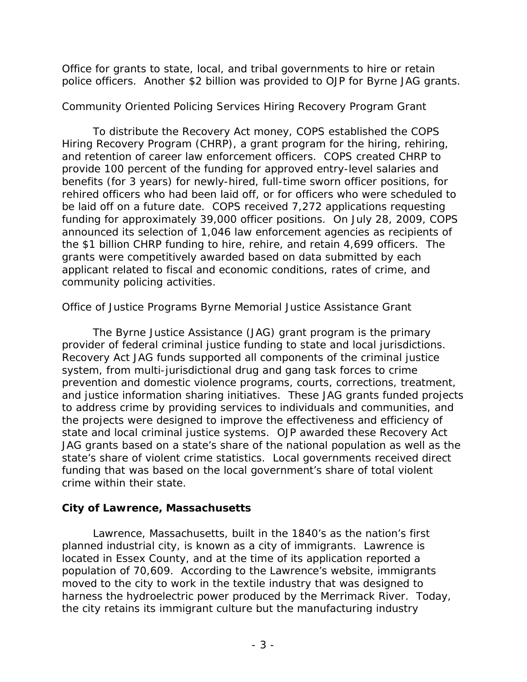Office for grants to state, local, and tribal governments to hire or retain police officers. Another \$2 billion was provided to OJP for Byrne JAG grants.

#### *Community Oriented Policing Services Hiring Recovery Program Grant*

 the \$1 billion CHRP funding to hire, rehire, and retain 4,699 officers. The To distribute the Recovery Act money, COPS established the COPS Hiring Recovery Program (CHRP), a grant program for the hiring, rehiring, and retention of career law enforcement officers. COPS created CHRP to provide 100 percent of the funding for approved entry-level salaries and benefits (for 3 years) for newly-hired, full-time sworn officer positions, for rehired officers who had been laid off, or for officers who were scheduled to be laid off on a future date. COPS received 7,272 applications requesting funding for approximately 39,000 officer positions. On July 28, 2009, COPS announced its selection of 1,046 law enforcement agencies as recipients of grants were competitively awarded based on data submitted by each applicant related to fiscal and economic conditions, rates of crime, and community policing activities.

# *Office of Justice Programs Byrne Memorial Justice Assistance Grant*

 provider of federal criminal justice funding to state and local jurisdictions. the projects were designed to improve the effectiveness and efficiency of The Byrne Justice Assistance (JAG) grant program is the primary Recovery Act JAG funds supported all components of the criminal justice system, from multi-jurisdictional drug and gang task forces to crime prevention and domestic violence programs, courts, corrections, treatment, and justice information sharing initiatives. These JAG grants funded projects to address crime by providing services to individuals and communities, and state and local criminal justice systems. OJP awarded these Recovery Act JAG grants based on a state's share of the national population as well as the state's share of violent crime statistics. Local governments received direct funding that was based on the local government's share of total violent crime within their state.

## **City of Lawrence, Massachusetts**

 planned industrial city, is known as a city of immigrants. Lawrence is moved to the city to work in the textile industry that was designed to harness the hydroelectric power produced by the Merrimack River. Today, Lawrence, Massachusetts, built in the 1840's as the nation's first located in Essex County, and at the time of its application reported a population of 70,609. According to the Lawrence's website, immigrants the city retains its immigrant culture but the manufacturing industry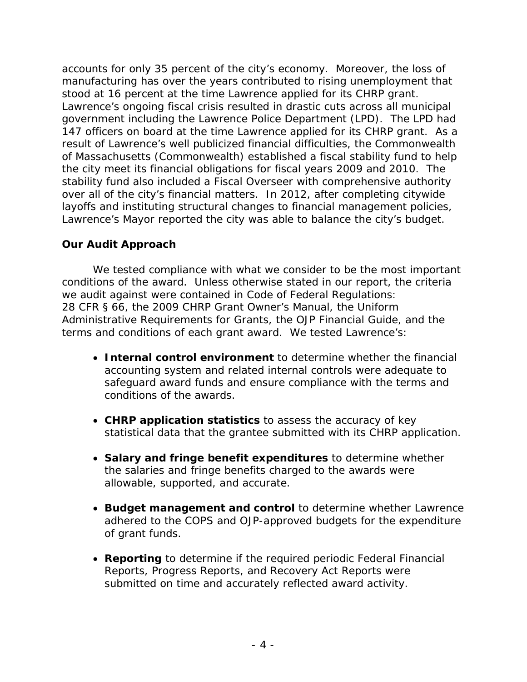accounts for only 35 percent of the city's economy. Moreover, the loss of 147 officers on board at the time Lawrence applied for its CHRP grant. As a the city meet its financial obligations for fiscal years 2009 and 2010. The Lawrence's Mayor reported the city was able to balance the city's budget. manufacturing has over the years contributed to rising unemployment that stood at 16 percent at the time Lawrence applied for its CHRP grant. Lawrence's ongoing fiscal crisis resulted in drastic cuts across all municipal government including the Lawrence Police Department (LPD). The LPD had result of Lawrence's well publicized financial difficulties, the Commonwealth of Massachusetts (Commonwealth) established a fiscal stability fund to help stability fund also included a Fiscal Overseer with comprehensive authority over all of the city's financial matters. In 2012, after completing citywide layoffs and instituting structural changes to financial management policies,

#### **Our Audit Approach**

 terms and conditions of each grant award. We tested Lawrence's: We tested compliance with what we consider to be the most important conditions of the award. Unless otherwise stated in our report, the criteria we audit against were contained in Code of Federal Regulations: 28 CFR § 66, the 2009 CHRP Grant Owner's Manual, the Uniform Administrative Requirements for Grants, the OJP Financial Guide, and the

- • **Internal control environment** to determine whether the financial accounting system and related internal controls were adequate to safeguard award funds and ensure compliance with the terms and conditions of the awards.
- • **CHRP application statistics** to assess the accuracy of key statistical data that the grantee submitted with its CHRP application.
- • **Salary and fringe benefit expenditures** to determine whether the salaries and fringe benefits charged to the awards were allowable, supported, and accurate.
- **Budget management and control** to determine whether Lawrence adhered to the COPS and OJP-approved budgets for the expenditure of grant funds.
- • **Reporting** to determine if the required periodic Federal Financial Reports, Progress Reports, and Recovery Act Reports were submitted on time and accurately reflected award activity.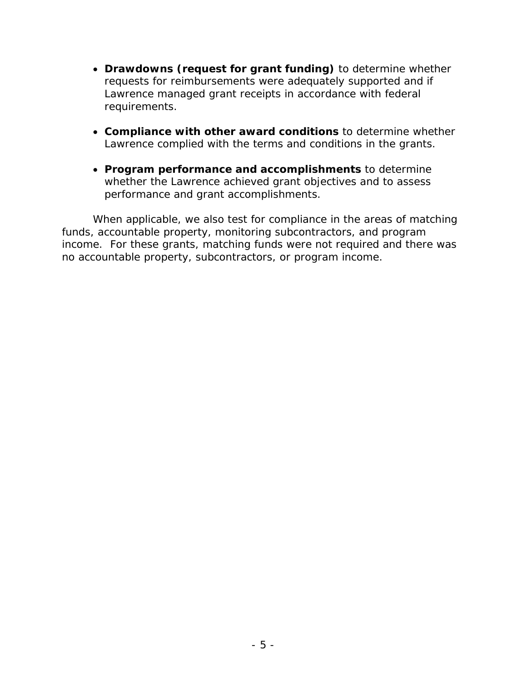- • **Drawdowns (request for grant funding)** to determine whether requests for reimbursements were adequately supported and if Lawrence managed grant receipts in accordance with federal requirements.
- • **Compliance with other award conditions** to determine whether Lawrence complied with the terms and conditions in the grants.
- • **Program performance and accomplishments** to determine whether the Lawrence achieved grant objectives and to assess performance and grant accomplishments.

When applicable, we also test for compliance in the areas of matching funds, accountable property, monitoring subcontractors, and program income. For these grants, matching funds were not required and there was no accountable property, subcontractors, or program income.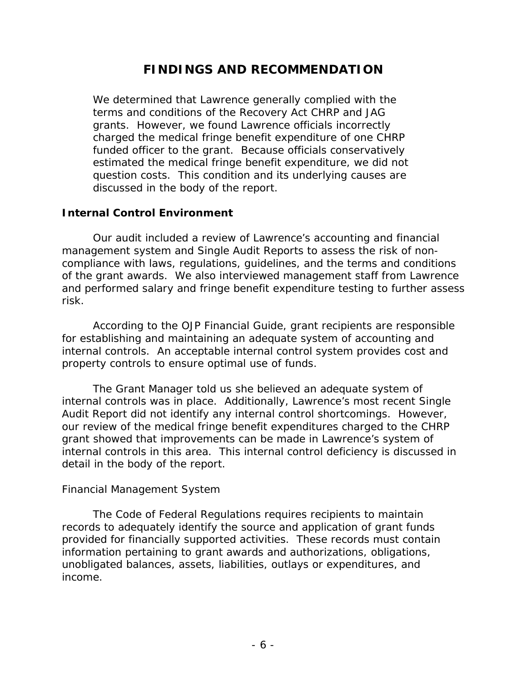# **FINDINGS AND RECOMMENDATION**

We determined that Lawrence generally complied with the terms and conditions of the Recovery Act CHRP and JAG grants. However, we found Lawrence officials incorrectly charged the medical fringe benefit expenditure of one CHRP funded officer to the grant. Because officials conservatively estimated the medical fringe benefit expenditure, we did not question costs. This condition and its underlying causes are discussed in the body of the report.

#### **Internal Control Environment**

 and performed salary and fringe benefit expenditure testing to further assess Our audit included a review of Lawrence's accounting and financial management system and Single Audit Reports to assess the risk of noncompliance with laws, regulations, guidelines, and the terms and conditions of the grant awards. We also interviewed management staff from Lawrence risk.

According to the OJP Financial Guide, grant recipients are responsible for establishing and maintaining an adequate system of accounting and internal controls. An acceptable internal control system provides cost and property controls to ensure optimal use of funds.

 internal controls in this area. This internal control deficiency is discussed in The Grant Manager told us she believed an adequate system of internal controls was in place. Additionally, Lawrence's most recent Single Audit Report did not identify any internal control shortcomings. However, our review of the medical fringe benefit expenditures charged to the CHRP grant showed that improvements can be made in Lawrence's system of detail in the body of the report.

#### *Financial Management System*

The Code of Federal Regulations requires recipients to maintain records to adequately identify the source and application of grant funds provided for financially supported activities. These records must contain information pertaining to grant awards and authorizations, obligations, unobligated balances, assets, liabilities, outlays or expenditures, and income.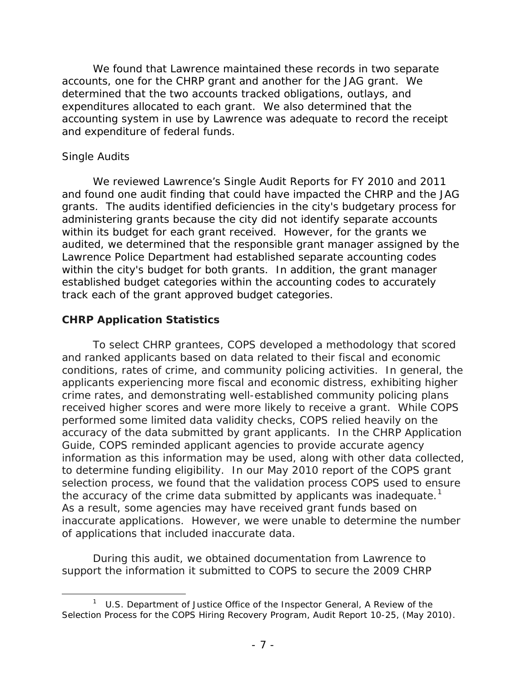and expenditure of federal funds.<br>Single Audits We found that Lawrence maintained these records in two separate accounts, one for the CHRP grant and another for the JAG grant. We determined that the two accounts tracked obligations, outlays, and expenditures allocated to each grant. We also determined that the accounting system in use by Lawrence was adequate to record the receipt

 We reviewed Lawrence's Single Audit Reports for FY 2010 and 2011 grants. The audits identified deficiencies in the city's budgetary process for administering grants because the city did not identify separate accounts audited, we determined that the responsible grant manager assigned by the track each of the grant approved budget categories. and found one audit finding that could have impacted the CHRP and the JAG within its budget for each grant received. However, for the grants we Lawrence Police Department had established separate accounting codes within the city's budget for both grants. In addition, the grant manager established budget categories within the accounting codes to accurately

#### **CHRP Application Statistics**

 performed some limited data validity checks, COPS relied heavily on the the accuracy of the crime data submitted by applicants was inadequate.<sup>1</sup> To select CHRP grantees, COPS developed a methodology that scored and ranked applicants based on data related to their fiscal and economic conditions, rates of crime, and community policing activities. In general, the applicants experiencing more fiscal and economic distress, exhibiting higher crime rates, and demonstrating well-established community policing plans received higher scores and were more likely to receive a grant. While COPS accuracy of the data submitted by grant applicants. In the CHRP Application Guide, COPS reminded applicant agencies to provide accurate agency information as this information may be used, along with other data collected, to determine funding eligibility. In our May 2010 report of the COPS grant selection process, we found that the validation process COPS used to ensure As a result, some agencies may have received grant funds based on inaccurate applications. However, we were unable to determine the number of applications that included inaccurate data.

During this audit, we obtained documentation from Lawrence to support the information it submitted to COPS to secure the 2009 CHRP

 $\overline{a}$  $1$  U.S. Department of Justice Office of the Inspector General, A Review of the Selection Process for the COPS Hiring Recovery Program, Audit Report 10-25, (May 2010).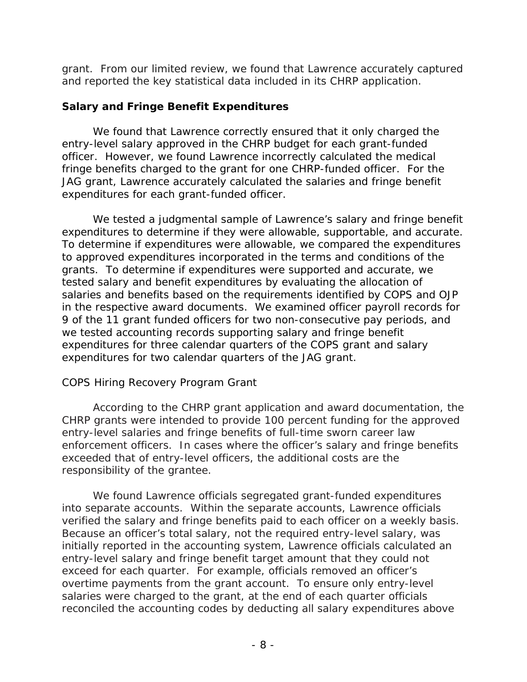grant. From our limited review, we found that Lawrence accurately captured and reported the key statistical data included in its CHRP application.

#### **Salary and Fringe Benefit Expenditures**

 fringe benefits charged to the grant for one CHRP-funded officer. For the JAG grant, Lawrence accurately calculated the salaries and fringe benefit expenditures for each grant-funded officer. We found that Lawrence correctly ensured that it only charged the entry-level salary approved in the CHRP budget for each grant-funded officer. However, we found Lawrence incorrectly calculated the medical

 we tested accounting records supporting salary and fringe benefit We tested a judgmental sample of Lawrence's salary and fringe benefit expenditures to determine if they were allowable, supportable, and accurate. To determine if expenditures were allowable, we compared the expenditures to approved expenditures incorporated in the terms and conditions of the grants. To determine if expenditures were supported and accurate, we tested salary and benefit expenditures by evaluating the allocation of salaries and benefits based on the requirements identified by COPS and OJP in the respective award documents. We examined officer payroll records for 9 of the 11 grant funded officers for two non-consecutive pay periods, and expenditures for three calendar quarters of the COPS grant and salary expenditures for two calendar quarters of the JAG grant.

## *COPS Hiring Recovery Program Grant*

 CHRP grants were intended to provide 100 percent funding for the approved entry-level salaries and fringe benefits of full-time sworn career law enforcement officers. In cases where the officer's salary and fringe benefits According to the CHRP grant application and award documentation, the exceeded that of entry-level officers, the additional costs are the responsibility of the grantee.

 into separate accounts. Within the separate accounts, Lawrence officials exceed for each quarter. For example, officials removed an officer's overtime payments from the grant account. To ensure only entry-level We found Lawrence officials segregated grant-funded expenditures verified the salary and fringe benefits paid to each officer on a weekly basis. Because an officer's total salary, not the required entry-level salary, was initially reported in the accounting system, Lawrence officials calculated an entry-level salary and fringe benefit target amount that they could not salaries were charged to the grant, at the end of each quarter officials reconciled the accounting codes by deducting all salary expenditures above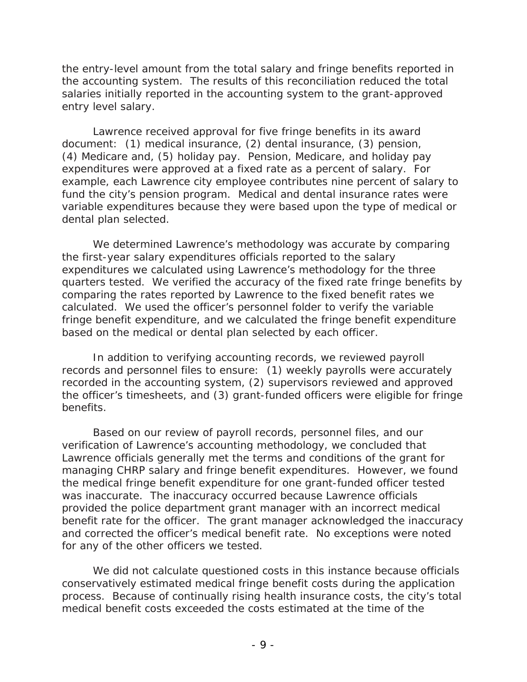salaries initially reported in the accounting system to the grant-approved the entry-level amount from the total salary and fringe benefits reported in the accounting system. The results of this reconciliation reduced the total entry level salary.

 expenditures were approved at a fixed rate as a percent of salary. For example, each Lawrence city employee contributes nine percent of salary to Lawrence received approval for five fringe benefits in its award document: (1) medical insurance, (2) dental insurance, (3) pension, (4) Medicare and, (5) holiday pay. Pension, Medicare, and holiday pay fund the city's pension program. Medical and dental insurance rates were variable expenditures because they were based upon the type of medical or dental plan selected.

 quarters tested. We verified the accuracy of the fixed rate fringe benefits by We determined Lawrence's methodology was accurate by comparing the first-year salary expenditures officials reported to the salary expenditures we calculated using Lawrence's methodology for the three comparing the rates reported by Lawrence to the fixed benefit rates we calculated. We used the officer's personnel folder to verify the variable fringe benefit expenditure, and we calculated the fringe benefit expenditure based on the medical or dental plan selected by each officer.

In addition to verifying accounting records, we reviewed payroll records and personnel files to ensure: (1) weekly payrolls were accurately recorded in the accounting system, (2) supervisors reviewed and approved the officer's timesheets, and (3) grant-funded officers were eligible for fringe benefits.

 Lawrence officials generally met the terms and conditions of the grant for managing CHRP salary and fringe benefit expenditures. However, we found benefit rate for the officer. The grant manager acknowledged the inaccuracy and corrected the officer's medical benefit rate. No exceptions were noted for any of the other officers we tested. Based on our review of payroll records, personnel files, and our verification of Lawrence's accounting methodology, we concluded that the medical fringe benefit expenditure for one grant-funded officer tested was inaccurate. The inaccuracy occurred because Lawrence officials provided the police department grant manager with an incorrect medical

 process. Because of continually rising health insurance costs, the city's total We did not calculate questioned costs in this instance because officials conservatively estimated medical fringe benefit costs during the application medical benefit costs exceeded the costs estimated at the time of the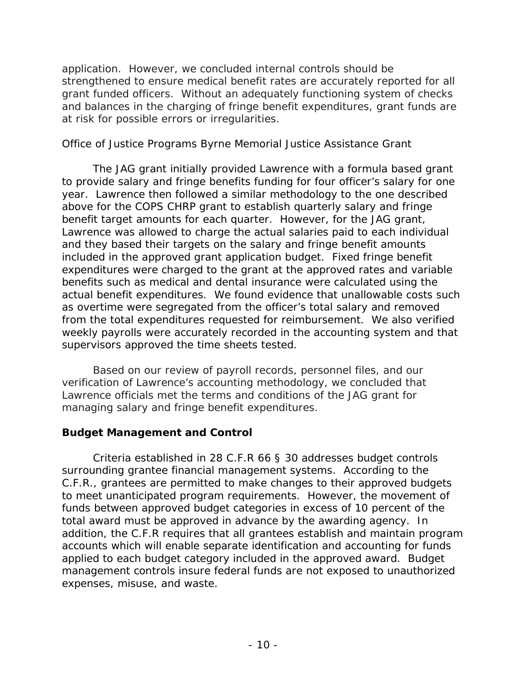grant funded officers. Without an adequately functioning system of checks application. However, we concluded internal controls should be strengthened to ensure medical benefit rates are accurately reported for all and balances in the charging of fringe benefit expenditures, grant funds are at risk for possible errors or irregularities.

#### *Office of Justice Programs Byrne Memorial Justice Assistance Grant*

 to provide salary and fringe benefits funding for four officer's salary for one year. Lawrence then followed a similar methodology to the one described included in the approved grant application budget. Fixed fringe benefit actual benefit expenditures. We found evidence that unallowable costs such as overtime were segregated from the officer's total salary and removed from the total expenditures requested for reimbursement. We also verified The JAG grant initially provided Lawrence with a formula based grant above for the COPS CHRP grant to establish quarterly salary and fringe benefit target amounts for each quarter. However, for the JAG grant, Lawrence was allowed to charge the actual salaries paid to each individual and they based their targets on the salary and fringe benefit amounts expenditures were charged to the grant at the approved rates and variable benefits such as medical and dental insurance were calculated using the weekly payrolls were accurately recorded in the accounting system and that supervisors approved the time sheets tested.

 Lawrence officials met the terms and conditions of the JAG grant for managing salary and fringe benefit expenditures. Based on our review of payroll records, personnel files, and our verification of Lawrence's accounting methodology, we concluded that

## **Budget Management and Control**

 surrounding grantee financial management systems. According to the expenses, misuse, and waste. Criteria established in 28 C.F.R 66 § 30 addresses budget controls C.F.R., grantees are permitted to make changes to their approved budgets to meet unanticipated program requirements. However, the movement of funds between approved budget categories in excess of 10 percent of the total award must be approved in advance by the awarding agency. In addition, the C.F.R requires that all grantees establish and maintain program accounts which will enable separate identification and accounting for funds applied to each budget category included in the approved award. Budget management controls insure federal funds are not exposed to unauthorized expenses, misuse, and waste.<br>- 10 - 10 -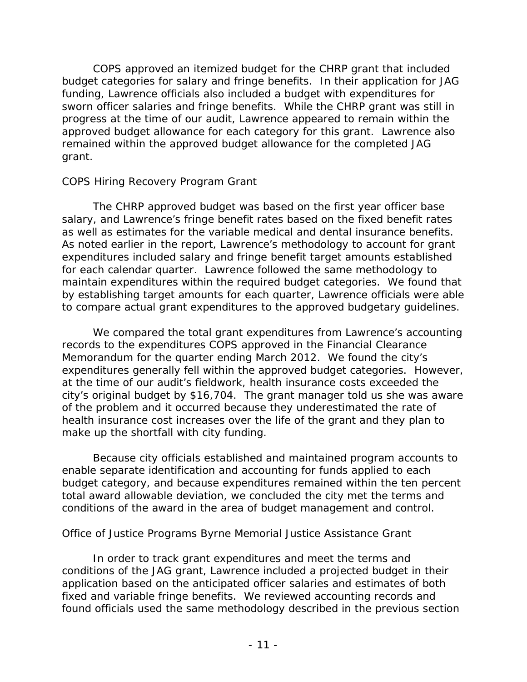budget categories for salary and fringe benefits. In their application for JAG funding, Lawrence officials also included a budget with expenditures for approved budget allowance for each category for this grant. Lawrence also COPS approved an itemized budget for the CHRP grant that included sworn officer salaries and fringe benefits. While the CHRP grant was still in progress at the time of our audit, Lawrence appeared to remain within the remained within the approved budget allowance for the completed JAG grant.

#### *COPS Hiring Recovery Program Grant*

 as well as estimates for the variable medical and dental insurance benefits. by establishing target amounts for each quarter, Lawrence officials were able The CHRP approved budget was based on the first year officer base salary, and Lawrence's fringe benefit rates based on the fixed benefit rates As noted earlier in the report, Lawrence's methodology to account for grant expenditures included salary and fringe benefit target amounts established for each calendar quarter. Lawrence followed the same methodology to maintain expenditures within the required budget categories. We found that to compare actual grant expenditures to the approved budgetary guidelines.

 Memorandum for the quarter ending March 2012. We found the city's We compared the total grant expenditures from Lawrence's accounting records to the expenditures COPS approved in the Financial Clearance expenditures generally fell within the approved budget categories. However, at the time of our audit's fieldwork, health insurance costs exceeded the city's original budget by \$16,704. The grant manager told us she was aware of the problem and it occurred because they underestimated the rate of health insurance cost increases over the life of the grant and they plan to make up the shortfall with city funding.

 conditions of the award in the area of budget management and control. Because city officials established and maintained program accounts to enable separate identification and accounting for funds applied to each budget category, and because expenditures remained within the ten percent total award allowable deviation, we concluded the city met the terms and

#### *Office of Justice Programs Byrne Memorial Justice Assistance Grant*

In order to track grant expenditures and meet the terms and conditions of the JAG grant, Lawrence included a projected budget in their application based on the anticipated officer salaries and estimates of both fixed and variable fringe benefits. We reviewed accounting records and found officials used the same methodology described in the previous section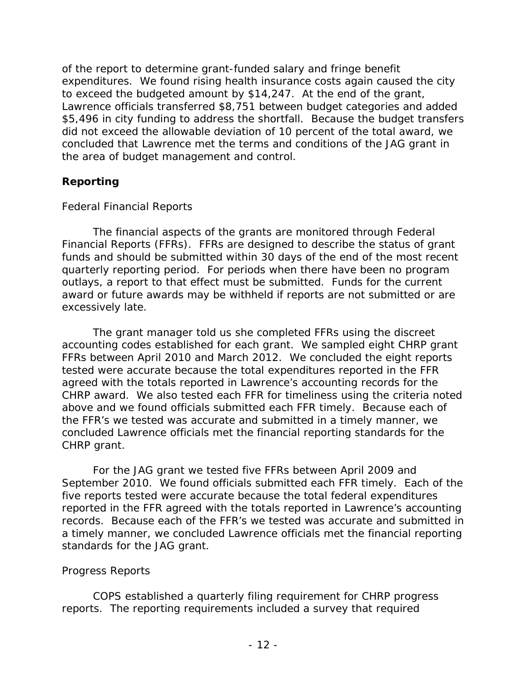of the report to determine grant-funded salary and fringe benefit expenditures. We found rising health insurance costs again caused the city did not exceed the allowable deviation of 10 percent of the total award, we to exceed the budgeted amount by \$14,247. At the end of the grant, Lawrence officials transferred \$8,751 between budget categories and added \$5,496 in city funding to address the shortfall. Because the budget transfers concluded that Lawrence met the terms and conditions of the JAG grant in the area of budget management and control.

## **Reporting**

#### *Federal Financial Reports*

 outlays, a report to that effect must be submitted. Funds for the current The financial aspects of the grants are monitored through Federal Financial Reports (FFRs). FFRs are designed to describe the status of grant funds and should be submitted within 30 days of the end of the most recent quarterly reporting period. For periods when there have been no program award or future awards may be withheld if reports are not submitted or are excessively late.

 CHRP award. We also tested each FFR for timeliness using the criteria noted The grant manager told us she completed FFRs using the discreet accounting codes established for each grant. We sampled eight CHRP grant FFRs between April 2010 and March 2012. We concluded the eight reports tested were accurate because the total expenditures reported in the FFR agreed with the totals reported in Lawrence's accounting records for the above and we found officials submitted each FFR timely. Because each of the FFR's we tested was accurate and submitted in a timely manner, we concluded Lawrence officials met the financial reporting standards for the CHRP grant.

 September 2010. We found officials submitted each FFR timely. Each of the standards for the JAG grant. For the JAG grant we tested five FFRs between April 2009 and five reports tested were accurate because the total federal expenditures reported in the FFR agreed with the totals reported in Lawrence's accounting records. Because each of the FFR's we tested was accurate and submitted in a timely manner, we concluded Lawrence officials met the financial reporting

#### *Progress Reports*

 COPS established a quarterly filing requirement for CHRP progress reports. The reporting requirements included a survey that required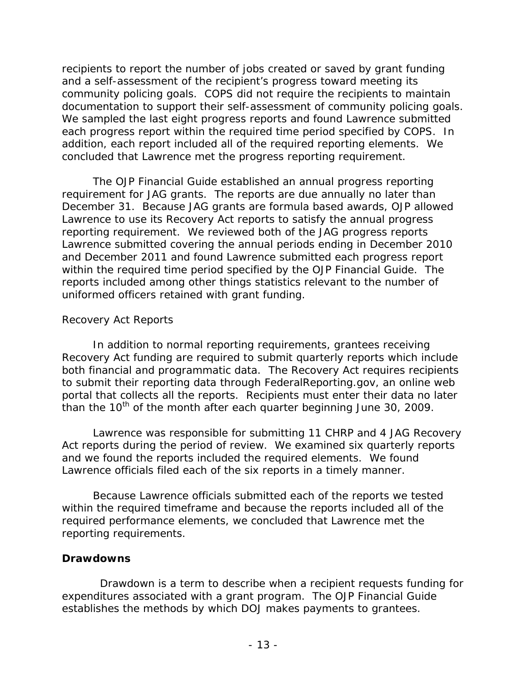documentation to support their self-assessment of community policing goals. concluded that Lawrence met the progress reporting requirement. recipients to report the number of jobs created or saved by grant funding and a self-assessment of the recipient's progress toward meeting its community policing goals. COPS did not require the recipients to maintain We sampled the last eight progress reports and found Lawrence submitted each progress report within the required time period specified by COPS. In addition, each report included all of the required reporting elements. We

 requirement for JAG grants. The reports are due annually no later than December 31. Because JAG grants are formula based awards, OJP allowed Lawrence submitted covering the annual periods ending in December 2010 within the required time period specified by the OJP Financial Guide. The uniformed officers retained with grant funding. The OJP Financial Guide established an annual progress reporting Lawrence to use its Recovery Act reports to satisfy the annual progress reporting requirement. We reviewed both of the JAG progress reports and December 2011 and found Lawrence submitted each progress report reports included among other things statistics relevant to the number of

#### *Recovery Act Reports*

 both financial and programmatic data. The Recovery Act requires recipients portal that collects all the reports. Recipients must enter their data no later than the  $10^{th}$  of the month after each quarter beginning June 30, 2009. In addition to normal reporting requirements, grantees receiving Recovery Act funding are required to submit quarterly reports which include to submit their reporting data through FederalReporting.gov, an online web

 and we found the reports included the required elements. We found Lawrence was responsible for submitting 11 CHRP and 4 JAG Recovery Act reports during the period of review. We examined six quarterly reports Lawrence officials filed each of the six reports in a timely manner.

 Because Lawrence officials submitted each of the reports we tested within the required timeframe and because the reports included all of the required performance elements, we concluded that Lawrence met the reporting requirements.

#### **Drawdowns**

establishes the methods by which DOJ makes payments to grantees.<br>- 13 -Drawdown is a term to describe when a recipient requests funding for expenditures associated with a grant program. The OJP Financial Guide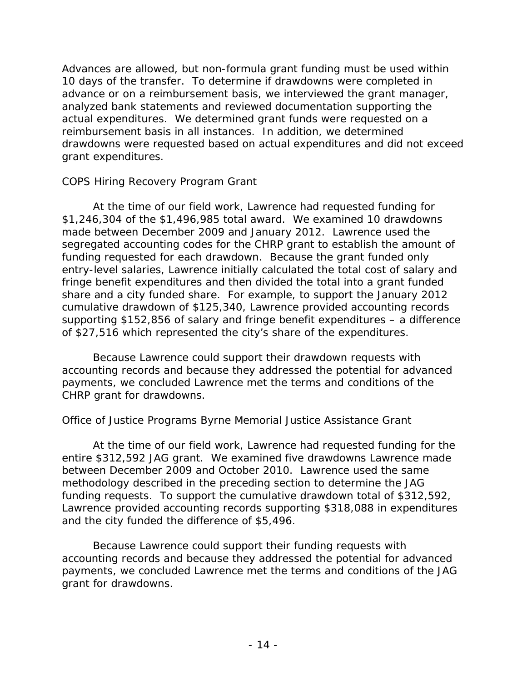Advances are allowed, but non-formula grant funding must be used within 10 days of the transfer. To determine if drawdowns were completed in advance or on a reimbursement basis, we interviewed the grant manager, analyzed bank statements and reviewed documentation supporting the actual expenditures. We determined grant funds were requested on a reimbursement basis in all instances. In addition, we determined drawdowns were requested based on actual expenditures and did not exceed grant expenditures.

## *COPS Hiring Recovery Program Grant*

 At the time of our field work, Lawrence had requested funding for fringe benefit expenditures and then divided the total into a grant funded share and a city funded share. For example, to support the January 2012 \$1,246,304 of the \$1,496,985 total award. We examined 10 drawdowns made between December 2009 and January 2012. Lawrence used the segregated accounting codes for the CHRP grant to establish the amount of funding requested for each drawdown. Because the grant funded only entry-level salaries, Lawrence initially calculated the total cost of salary and cumulative drawdown of \$125,340, Lawrence provided accounting records supporting \$152,856 of salary and fringe benefit expenditures – a difference of \$27,516 which represented the city's share of the expenditures.

Because Lawrence could support their drawdown requests with accounting records and because they addressed the potential for advanced payments, we concluded Lawrence met the terms and conditions of the CHRP grant for drawdowns.

## *Office of Justice Programs Byrne Memorial Justice Assistance Grant*

 At the time of our field work, Lawrence had requested funding for the entire \$312,592 JAG grant. We examined five drawdowns Lawrence made between December 2009 and October 2010. Lawrence used the same methodology described in the preceding section to determine the JAG funding requests. To support the cumulative drawdown total of \$312,592, Lawrence provided accounting records supporting \$318,088 in expenditures and the city funded the difference of \$5,496.

Because Lawrence could support their funding requests with accounting records and because they addressed the potential for advanced payments, we concluded Lawrence met the terms and conditions of the JAG grant for drawdowns.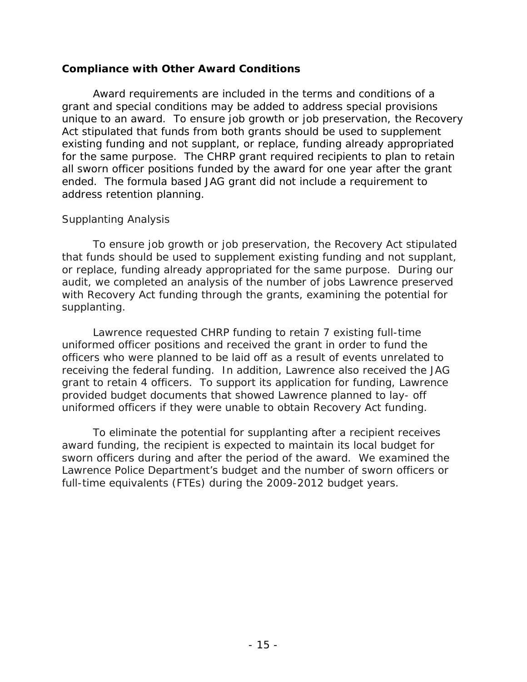#### **Compliance with Other Award Conditions**

 unique to an award. To ensure job growth or job preservation, the Recovery address retention planning. Award requirements are included in the terms and conditions of a grant and special conditions may be added to address special provisions Act stipulated that funds from both grants should be used to supplement existing funding and not supplant, or replace, funding already appropriated for the same purpose. The CHRP grant required recipients to plan to retain all sworn officer positions funded by the award for one year after the grant ended. The formula based JAG grant did not include a requirement to

#### *Supplanting Analysis*

To ensure job growth or job preservation, the Recovery Act stipulated that funds should be used to supplement existing funding and not supplant, or replace, funding already appropriated for the same purpose. During our audit, we completed an analysis of the number of jobs Lawrence preserved with Recovery Act funding through the grants, examining the potential for supplanting.

 provided budget documents that showed Lawrence planned to lay- off Lawrence requested CHRP funding to retain 7 existing full-time uniformed officer positions and received the grant in order to fund the officers who were planned to be laid off as a result of events unrelated to receiving the federal funding. In addition, Lawrence also received the JAG grant to retain 4 officers. To support its application for funding, Lawrence uniformed officers if they were unable to obtain Recovery Act funding.

 award funding, the recipient is expected to maintain its local budget for To eliminate the potential for supplanting after a recipient receives sworn officers during and after the period of the award. We examined the Lawrence Police Department's budget and the number of sworn officers or full-time equivalents (FTEs) during the 2009-2012 budget years.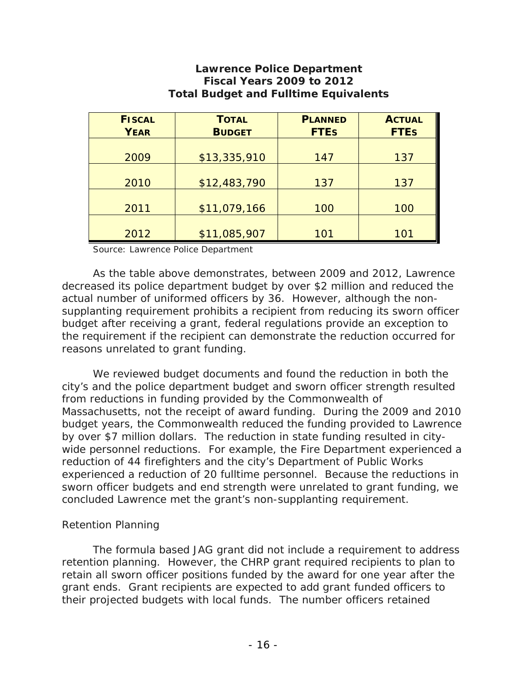| <b>FISCAL</b> | <b>TOTAL</b>  | <b>PLANNED</b> | <b>ACTUAL</b> |
|---------------|---------------|----------------|---------------|
| <b>YEAR</b>   | <b>BUDGET</b> | <b>FTEs</b>    | <b>FTEs</b>   |
|               |               |                |               |
| 2009          | \$13,335,910  | 147            | 137           |
|               |               |                |               |
| 2010          | \$12,483,790  | 137            | 137           |
|               |               |                |               |
| 2011          | \$11,079,166  | 100            | 100           |
|               |               |                |               |
| 2012          | \$11,085,907  | 101            | 101           |

#### **Lawrence Police Department Fiscal Years 2009 to 2012 Total Budget and Fulltime Equivalents**

Source: Lawrence Police Department

As the table above demonstrates, between 2009 and 2012, Lawrence decreased its police department budget by over \$2 million and reduced the actual number of uniformed officers by 36. However, although the nonsupplanting requirement prohibits a recipient from reducing its sworn officer budget after receiving a grant, federal regulations provide an exception to the requirement if the recipient can demonstrate the reduction occurred for reasons unrelated to grant funding.

 city's and the police department budget and sworn officer strength resulted Massachusetts, not the receipt of award funding. During the 2009 and 2010 We reviewed budget documents and found the reduction in both the from reductions in funding provided by the Commonwealth of budget years, the Commonwealth reduced the funding provided to Lawrence by over \$7 million dollars. The reduction in state funding resulted in citywide personnel reductions. For example, the Fire Department experienced a reduction of 44 firefighters and the city's Department of Public Works experienced a reduction of 20 fulltime personnel. Because the reductions in sworn officer budgets and end strength were unrelated to grant funding, we concluded Lawrence met the grant's non-supplanting requirement.

#### *Retention Planning*

 retention planning. However, the CHRP grant required recipients to plan to The formula based JAG grant did not include a requirement to address retain all sworn officer positions funded by the award for one year after the grant ends. Grant recipients are expected to add grant funded officers to their projected budgets with local funds. The number officers retained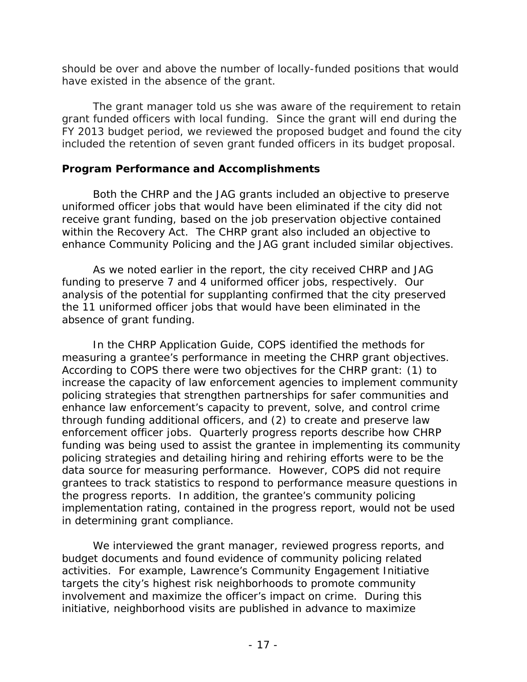should be over and above the number of locally-funded positions that would have existed in the absence of the grant.

 FY 2013 budget period, we reviewed the proposed budget and found the city The grant manager told us she was aware of the requirement to retain grant funded officers with local funding. Since the grant will end during the included the retention of seven grant funded officers in its budget proposal.

#### **Program Performance and Accomplishments**

 uniformed officer jobs that would have been eliminated if the city did not Both the CHRP and the JAG grants included an objective to preserve receive grant funding, based on the job preservation objective contained within the Recovery Act. The CHRP grant also included an objective to enhance Community Policing and the JAG grant included similar objectives.

 funding to preserve 7 and 4 uniformed officer jobs, respectively. Our analysis of the potential for supplanting confirmed that the city preserved As we noted earlier in the report, the city received CHRP and JAG the 11 uniformed officer jobs that would have been eliminated in the absence of grant funding.

measuring a grantee's performance in meeting the CHRP grant objectives. In the CHRP Application Guide, COPS identified the methods for According to COPS there were two objectives for the CHRP grant: (1) to increase the capacity of law enforcement agencies to implement community policing strategies that strengthen partnerships for safer communities and enhance law enforcement's capacity to prevent, solve, and control crime through funding additional officers, and (2) to create and preserve law enforcement officer jobs. Quarterly progress reports describe how CHRP funding was being used to assist the grantee in implementing its community policing strategies and detailing hiring and rehiring efforts were to be the data source for measuring performance. However, COPS did not require grantees to track statistics to respond to performance measure questions in the progress reports. In addition, the grantee's community policing implementation rating, contained in the progress report, would not be used in determining grant compliance.

 initiative, neighborhood visits are published in advance to maximize We interviewed the grant manager, reviewed progress reports, and budget documents and found evidence of community policing related activities. For example, Lawrence's Community Engagement Initiative targets the city's highest risk neighborhoods to promote community involvement and maximize the officer's impact on crime. During this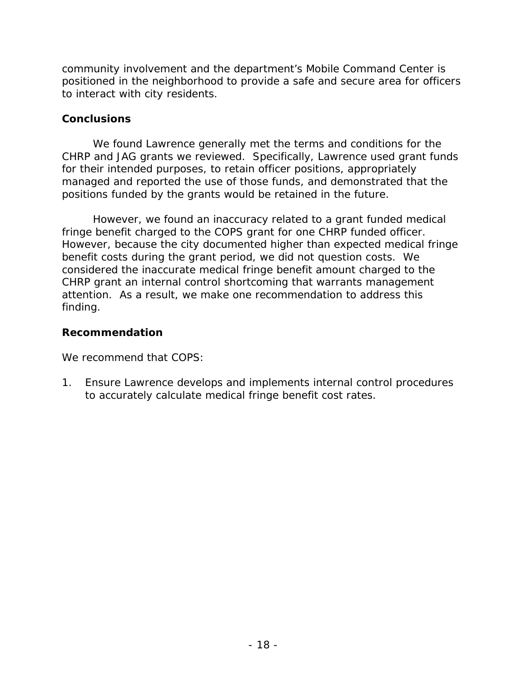to interact with city residents. community involvement and the department's Mobile Command Center is positioned in the neighborhood to provide a safe and secure area for officers

#### **Conclusions**

We found Lawrence generally met the terms and conditions for the CHRP and JAG grants we reviewed. Specifically, Lawrence used grant funds for their intended purposes, to retain officer positions, appropriately managed and reported the use of those funds, and demonstrated that the positions funded by the grants would be retained in the future.

 benefit costs during the grant period, we did not question costs. We attention. As a result, we make one recommendation to address this However, we found an inaccuracy related to a grant funded medical fringe benefit charged to the COPS grant for one CHRP funded officer. However, because the city documented higher than expected medical fringe considered the inaccurate medical fringe benefit amount charged to the CHRP grant an internal control shortcoming that warrants management finding.

## **Recommendation**

We recommend that COPS:

1. Ensure Lawrence develops and implements internal control procedures to accurately calculate medical fringe benefit cost rates.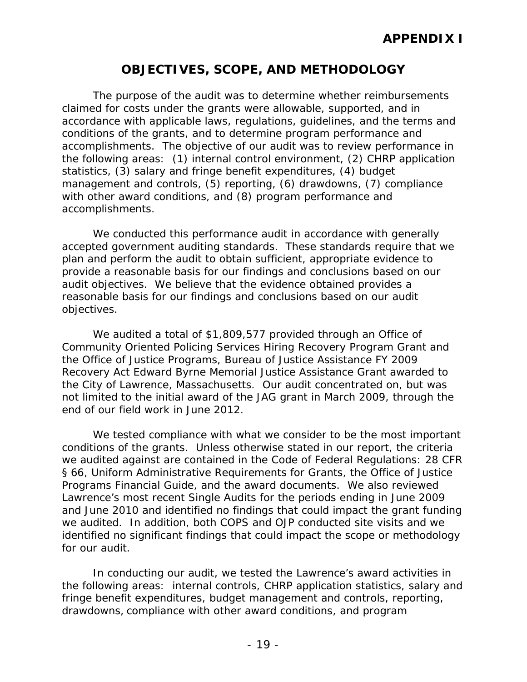# **OBJECTIVES, SCOPE, AND METHODOLOGY**

 accomplishments. The objective of our audit was to review performance in accomplishments. The purpose of the audit was to determine whether reimbursements claimed for costs under the grants were allowable, supported, and in accordance with applicable laws, regulations, guidelines, and the terms and conditions of the grants, and to determine program performance and the following areas: (1) internal control environment, (2) CHRP application statistics, (3) salary and fringe benefit expenditures, (4) budget management and controls, (5) reporting, (6) drawdowns, (7) compliance with other award conditions, and (8) program performance and

 accepted government auditing standards. These standards require that we reasonable basis for our findings and conclusions based on our audit We conducted this performance audit in accordance with generally plan and perform the audit to obtain sufficient, appropriate evidence to provide a reasonable basis for our findings and conclusions based on our audit objectives. We believe that the evidence obtained provides a objectives.

 We audited a total of \$1,809,577 provided through an Office of the City of Lawrence, Massachusetts. Our audit concentrated on, but was not limited to the initial award of the JAG grant in March 2009, through the end of our field work in June 2012. Community Oriented Policing Services Hiring Recovery Program Grant and the Office of Justice Programs, Bureau of Justice Assistance FY 2009 Recovery Act Edward Byrne Memorial Justice Assistance Grant awarded to

for our audit. We tested compliance with what we consider to be the most important conditions of the grants. Unless otherwise stated in our report, the criteria we audited against are contained in the Code of Federal Regulations: 28 CFR § 66, Uniform Administrative Requirements for Grants, the Office of Justice Programs Financial Guide, and the award documents. We also reviewed Lawrence's most recent Single Audits for the periods ending in June 2009 and June 2010 and identified no findings that could impact the grant funding we audited. In addition, both COPS and OJP conducted site visits and we identified no significant findings that could impact the scope or methodology

for our audit.<br>In conducting our audit, we tested the Lawrence's award activities in the following areas: internal controls, CHRP application statistics, salary and fringe benefit expenditures, budget management and controls, reporting, drawdowns, compliance with other award conditions, and program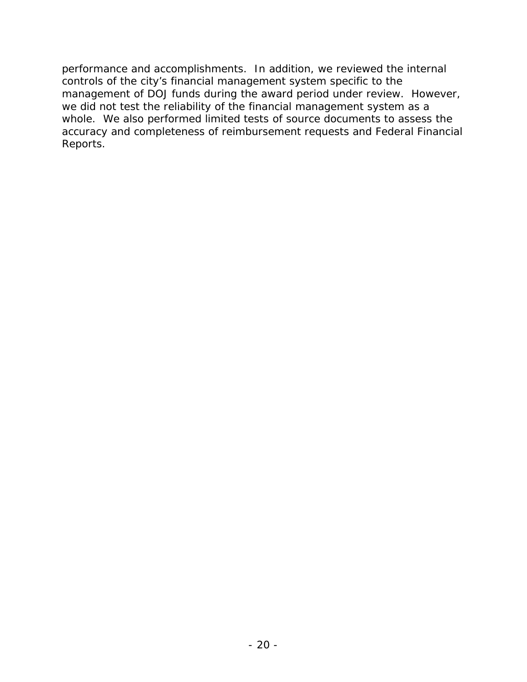controls of the city's financial management system specific to the whole. We also performed limited tests of source documents to assess the Reports. performance and accomplishments. In addition, we reviewed the internal management of DOJ funds during the award period under review. However, we did not test the reliability of the financial management system as a accuracy and completeness of reimbursement requests and Federal Financial Reports.<br>- 20 -<br>- 20 -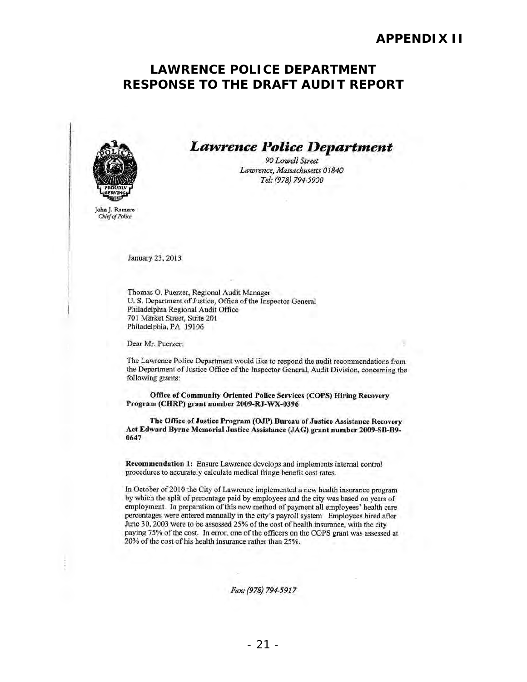## **RESPONSE TO THE DRAFT AUDIT REPORT LAWRENCE POLICE DEPARTMENT**



*Lawrence Police Department* 

*90 LowelJ Street*  Lawrence, Massachusetts 01840 *TeL-* (978) *794-5900* 

John J. Romero Chief of Police

January 23, 2013

Thomas O. Puerzer, Regional Audit Manager U. S. Department of Justice, Office of the Inspector General Philadelphia Regional Audit Office 701 Market Street, Suite 201 Philadelphia, PA 19106

Dear Mr. Puerzer:

The Lawrence Police Department would like to respond the audit recommendations from the Department of Justice Office of the Inspector General, Audit Division, concerning the following grants:

Office of Community Oriented Police Services (COPS) Hiring Recovery Program (CHRP) grant number 2009-RJ-WX-0396

The Office of Justice Program (OJP) Bureau of Justice Assistance Recovery Act Edward Byrne Memorial Justice Assistance (JAG) grant number 2009-SB-B9-0647

Recommendation 1: Ensure Lawrence develops and implements inlemal control procedures to accurately calculate medical fringe benefit cost rates.

In October of 2010 the City of Lawrence implemented a new health insurance program by which the splil of percentage paid by employees and the city was based on years of employment. In preparation of this new method of payment all employees' health care percentages were entered manually in the city's payroll system Employees hired after June 30, 2003 were to be assessed 25% of the cost of health insurance, with the city paying 75% of the cost. In error, one of the officers on the COPS grant was assessed at 20% of the cost of his health insurance rather than 25%.

Fax: (978) 794-5917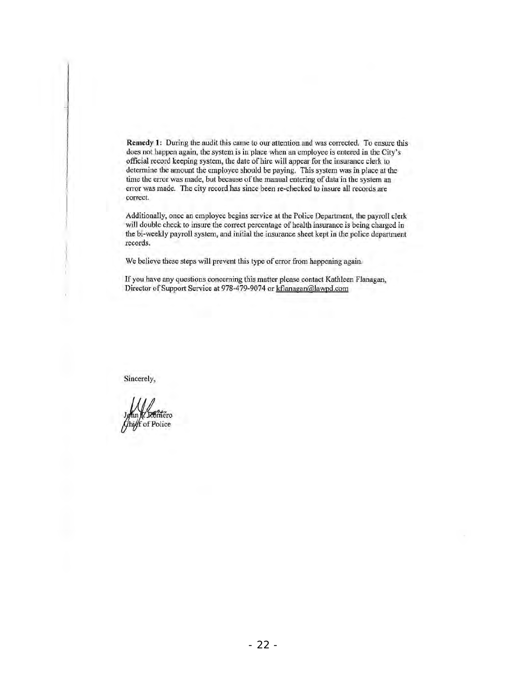Remedy 1: During the audit this came to our attention and was corrected. To ensure this does not happen again, the system is in place when an employee is entered in the City's official record keeping system, the date of hire will appear for the insurance clerk to determine the amount the employee should be paying. This system was in place at the time the error was made, but because of the manual entering of data in the system an error was made. The city record has since been re-checked to insure all records are correct.

Additionally, once an employee begins service at the Police Department, the payroll clerk will double check to insure the correct percentage of health insurance is being charged in the bi-weekly payroll system, and initial lhe insurance sheet kepi in the police department records.

We believe these steps will prevent this type of error from happening again.

If you have any questions concerning this matter please contact Kathleen Flanagan, Director of Support Service at 978-479-9074 or kflanagan@lawpd.com

Sincerely,

hief of Police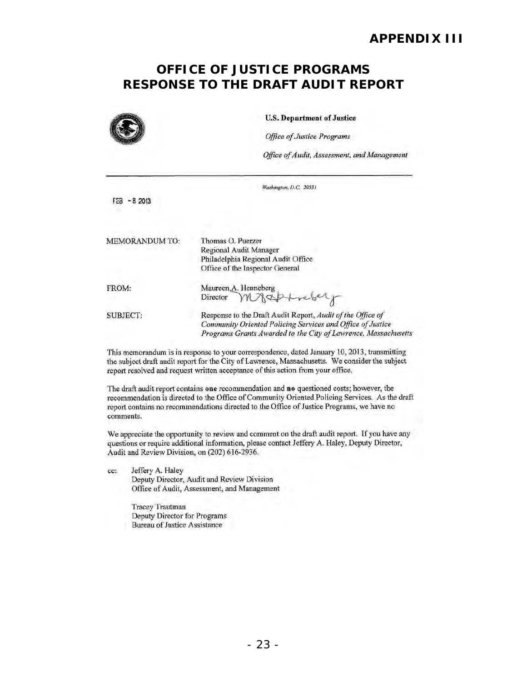# **RESPONSE TO THE DRAFT AUDIT REPORT OFFICE OF JUSTICE PROGRAMS**

| <b>U.S. Department of Justice</b><br><b>Office of Justice Programs</b><br>Office of Audit, Assessment, and Management |  |  |
|-----------------------------------------------------------------------------------------------------------------------|--|--|
|                                                                                                                       |  |  |
|                                                                                                                       |  |  |
| Thomas O. Puerzer<br>Regional Audit Manager<br>Philadelphia Regional Audit Office<br>Office of the Inspector General  |  |  |
| Maureen A. Henneberg<br>Director                                                                                      |  |  |
| Response to the Draft Audit Report, Audit of the Office of                                                            |  |  |
|                                                                                                                       |  |  |

This memorandum is in response to your correspondence, dated January 10, 2013, transmitting the subject draft audit report for the City of Lawrence, Massachusetts. We consider the subject report resolved and request written acceptance of this action from your office.

The draft audit report contains one recommendation and no questioned costs; however, the recommendation is directed to the Office of Community Oriented Policing Services. As the draft report contains no recommendations directed to the Office of Justice Programs, we have no comments.

We appreciate the opportunity to review and comment on the draft audit report. If you have any questions or require additional infonnation, please contact Jeffery A. Haley, Deputy Director, Audit and Review Division, on (202) 616·2936.

cc: Jeffery A. Haley Deputy Director, Audit and Review Division Office of Audit, Assessment, and Managemem

> Tracey Trautman Deputy Director for Programs Bureau of Justice Assistance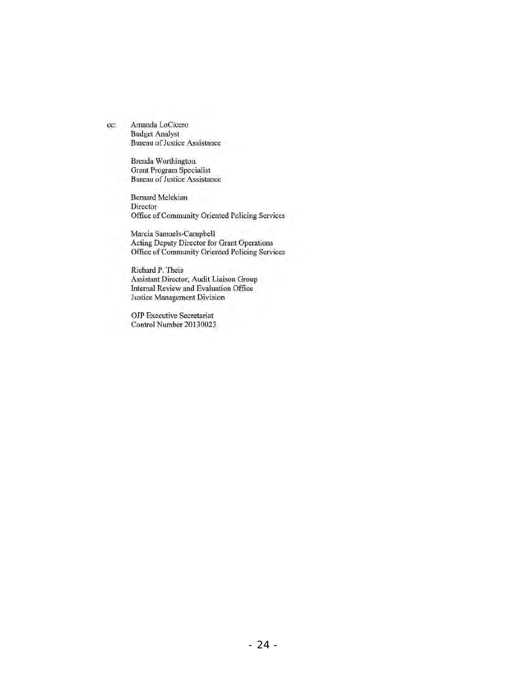cc: Amanda LoCicero Budget Analyst Bureau of Justice Assistance

> Brenda Worthington Grant Program Specialist Bureau of Justice Assistance

Bernard Melckian Director Office of Community Oriented Policing Scrvices

Marcia Samuels-Campbell Acting Deputy Director for Grant Operations Officc of Community Oricnted Policing Services

Richard P. Theis Assistant Director, Audit Liaison Group Internal Review and Evaluation Office Justice Management Division

**OJP** Executive Secretariat Control Number 20130023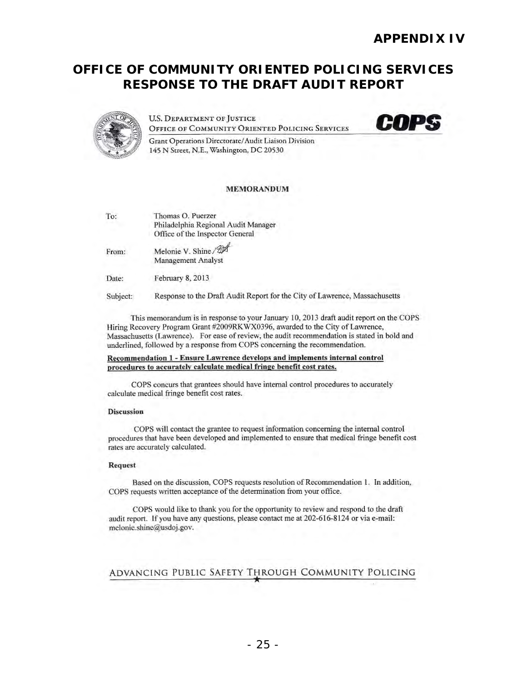# **RESPONSE TO THE DRAFT AUDIT REPORT OFFICE OF COMMUNITY ORIENTED POLICING SERVICES**



U.S. DEPARTMENT OF JUSTICE **OFFICE OF COMMUNITY ORIENTED POLICING SERVICES** 



Grant Operations Directorate/ Audit Liaison Division 145 N Street, N.E., Washington, DC 20530

#### MEMORANDUM

To: Thomas O. Puerzer Philadelphia Regional Audit Manager Office of the Inspector General

From: Melonie V. Shine /  $\mathbb{Z}^{\sharp}$ <br>Management Analyst

Date: February 8, 2013

Subject: Response to the Draft Audit Report for the City of Lawrence, Massachusetts

This memorandum is in response to your January 10,2013 draft audit report on the COPS Hiring Recovery Program Grant #2009RK WX0396, awarded to the City of Lawrence, Massachusetts (Lawrence). For ease of review, the audit recommendation is stated in bold and underlined, followed by a response from COPS concerning the recommendation.

#### Recommendation 1 - Ensure Lawrence develops and implements internal control procedures to accurately calculate medical fringe benefit cost rates.

COPS concurs that grantees should have internal control procedures to accurately calculate medical fringe benefit cost rates.

#### Discussion

COPS will contact the grantee to request information concerning the internal control procedures that have been developed and implemented to ensure that medical fringe benefit cost rates are accurately calculated.

#### Request

Based on the discussion, COPS requests resolution of Recommendation 1. In addition, COPS requests written acceptance of the determination from your office.

COPS would like to thank you for the opportunity to review and respond to the draft audit report. If you have any questions, please contact me at 202-616-8124 or via e-mail: melonie.shine@usdoj.gov.

#### ADVANCING PUBLIC SAFETY THROUGH COMMUNITY POLICING ..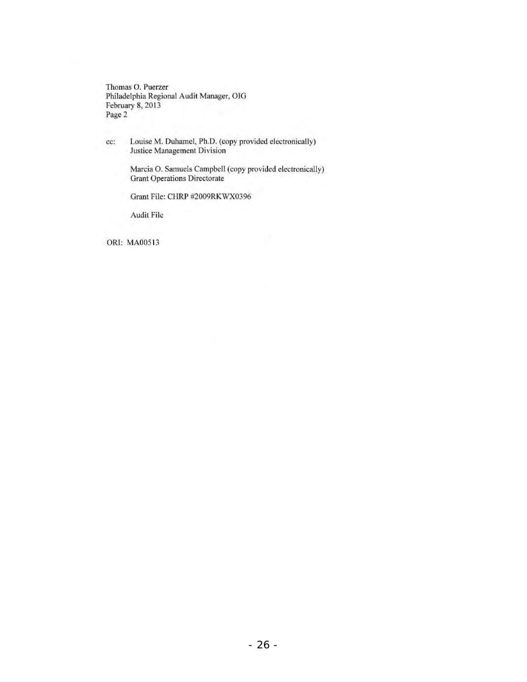**Thomas O. Puerzer Philadelphia Regional Audit Manager, OIG**  February 8, 2013 Page 2

**cc: Louise M. Duhamel, Ph.D. (copy provided electronically) Justice Management Division** 

> **Marcia O. Samuels Campbell (copy provided electronically) Grant Operations Directorate**

Grant File: CHRP #2009RKWX0396

**Audit File** 

ORI: MAOOSI3